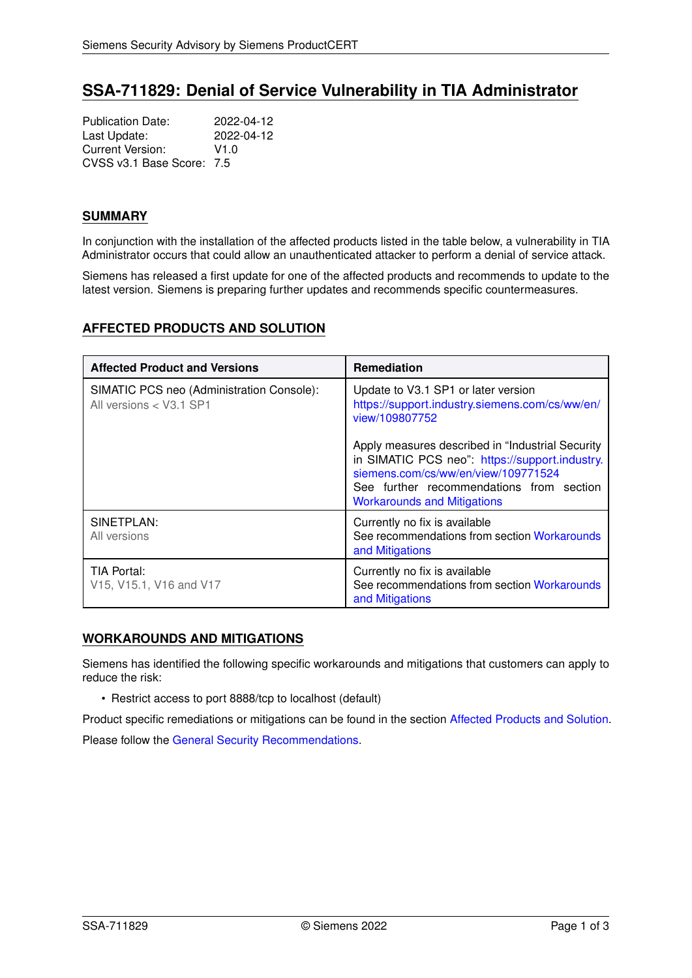# **SSA-711829: Denial of Service Vulnerability in TIA Administrator**

Publication Date: 2022-04-12<br>
Last Update: 2022-04-12 Last Update: Current Version: V1.0 CVSS v3.1 Base Score: 7.5

## **SUMMARY**

In conjunction with the installation of the affected products listed in the table below, a vulnerability in TIA Administrator occurs that could allow an unauthenticated attacker to perform a denial of service attack.

Siemens has released a first update for one of the affected products and recommends to update to the latest version. Siemens is preparing further updates and recommends specific countermeasures.

# <span id="page-0-1"></span>**AFFECTED PRODUCTS AND SOLUTION**

| <b>Affected Product and Versions</b>                                 | <b>Remediation</b>                                                                                                                                                                                                           |
|----------------------------------------------------------------------|------------------------------------------------------------------------------------------------------------------------------------------------------------------------------------------------------------------------------|
| SIMATIC PCS neo (Administration Console):<br>All versions < V3.1 SP1 | Update to V3.1 SP1 or later version<br>https://support.industry.siemens.com/cs/ww/en/<br>view/109807752                                                                                                                      |
|                                                                      | Apply measures described in "Industrial Security"<br>in SIMATIC PCS neo": https://support.industry.<br>siemens.com/cs/ww/en/view/109771524<br>See further recommendations from section<br><b>Workarounds and Mitigations</b> |
| SINETPLAN:<br>All versions                                           | Currently no fix is available<br>See recommendations from section Workarounds<br>and Mitigations                                                                                                                             |
| TIA Portal:<br>V15, V15.1, V16 and V17                               | Currently no fix is available<br>See recommendations from section Workarounds<br>and Mitigations                                                                                                                             |

# <span id="page-0-0"></span>**WORKAROUNDS AND MITIGATIONS**

Siemens has identified the following specific workarounds and mitigations that customers can apply to reduce the risk:

• Restrict access to port 8888/tcp to localhost (default)

Product specific remediations or mitigations can be found in the section [Affected Products and Solution.](#page-0-1)

<span id="page-0-2"></span>Please follow the [General Security Recommendations.](#page-0-2)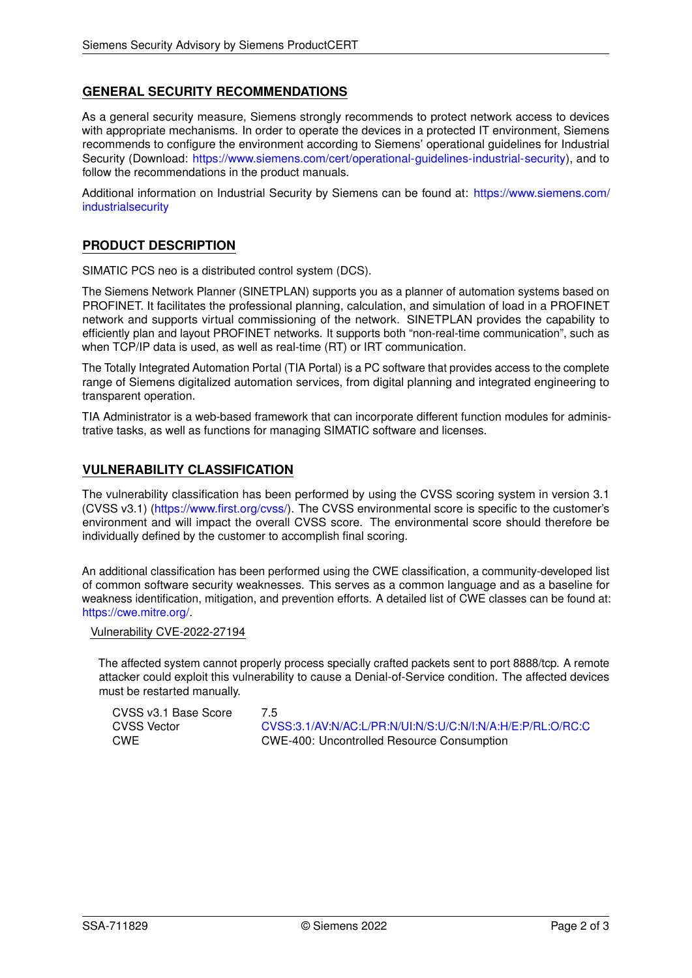# **GENERAL SECURITY RECOMMENDATIONS**

As a general security measure, Siemens strongly recommends to protect network access to devices with appropriate mechanisms. In order to operate the devices in a protected IT environment, Siemens recommends to configure the environment according to Siemens' operational guidelines for Industrial Security (Download: [https://www.siemens.com/cert/operational-guidelines-industrial-security\)](https://www.siemens.com/cert/operational-guidelines-industrial-security), and to follow the recommendations in the product manuals.

Additional information on Industrial Security by Siemens can be found at: [https://www.siemens.com/](https://www.siemens.com/industrialsecurity) [industrialsecurity](https://www.siemens.com/industrialsecurity)

## **PRODUCT DESCRIPTION**

SIMATIC PCS neo is a distributed control system (DCS).

The Siemens Network Planner (SINETPLAN) supports you as a planner of automation systems based on PROFINET. It facilitates the professional planning, calculation, and simulation of load in a PROFINET network and supports virtual commissioning of the network. SINETPLAN provides the capability to efficiently plan and layout PROFINET networks. It supports both "non-real-time communication", such as when TCP/IP data is used, as well as real-time (RT) or IRT communication.

The Totally Integrated Automation Portal (TIA Portal) is a PC software that provides access to the complete range of Siemens digitalized automation services, from digital planning and integrated engineering to transparent operation.

TIA Administrator is a web-based framework that can incorporate different function modules for administrative tasks, as well as functions for managing SIMATIC software and licenses.

## **VULNERABILITY CLASSIFICATION**

The vulnerability classification has been performed by using the CVSS scoring system in version 3.1 (CVSS v3.1) [\(https://www.first.org/cvss/\)](https://www.first.org/cvss/). The CVSS environmental score is specific to the customer's environment and will impact the overall CVSS score. The environmental score should therefore be individually defined by the customer to accomplish final scoring.

An additional classification has been performed using the CWE classification, a community-developed list of common software security weaknesses. This serves as a common language and as a baseline for weakness identification, mitigation, and prevention efforts. A detailed list of CWE classes can be found at: [https://cwe.mitre.org/.](https://cwe.mitre.org/)

#### Vulnerability CVE-2022-27194

The affected system cannot properly process specially crafted packets sent to port 8888/tcp. A remote attacker could exploit this vulnerability to cause a Denial-of-Service condition. The affected devices must be restarted manually.

CVSS v3.1 Base Score 7.5

CVSS Vector [CVSS:3.1/AV:N/AC:L/PR:N/UI:N/S:U/C:N/I:N/A:H/E:P/RL:O/RC:C](https://www.first.org/cvss/calculator/3.1#CVSS:3.1/AV:N/AC:L/PR:N/UI:N/S:U/C:N/I:N/A:H/E:P/RL:O/RC:C) CWE CWE-400: Uncontrolled Resource Consumption